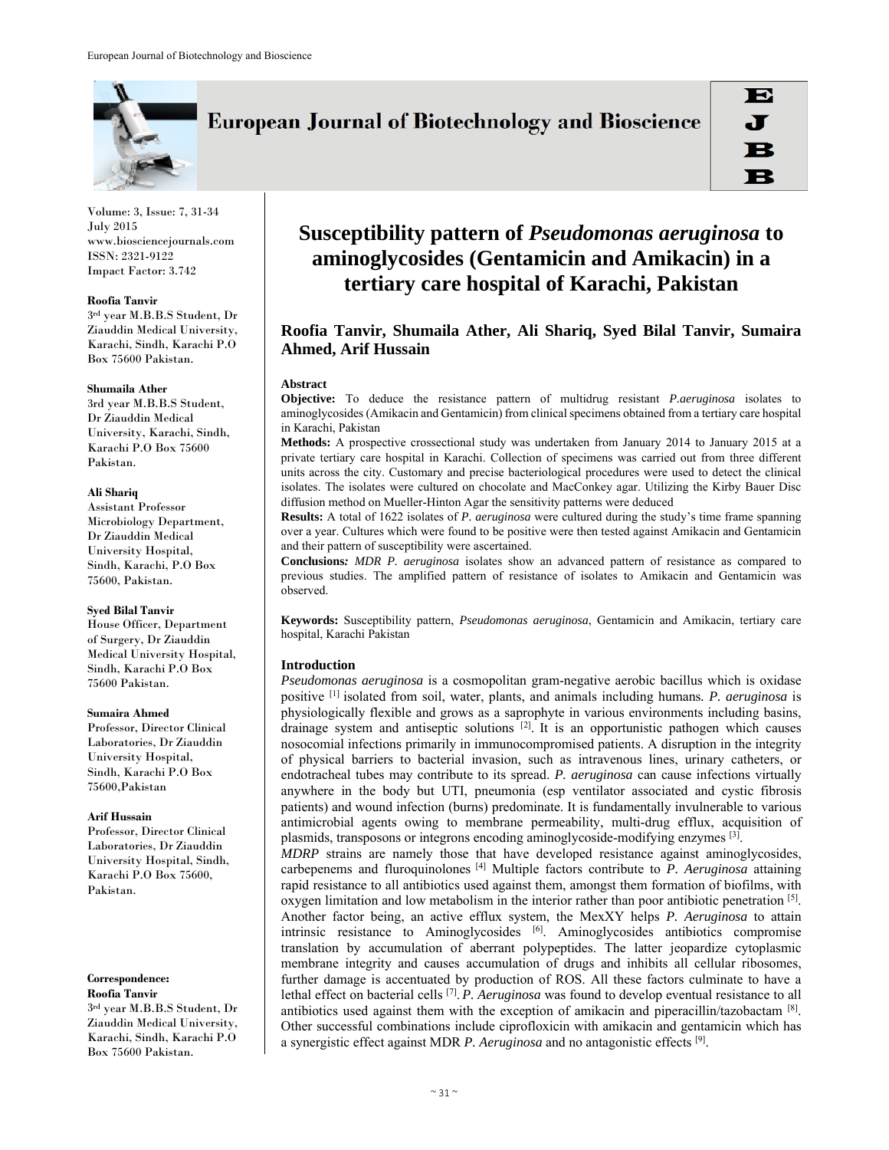

**European Journal of Biotechnology and Bioscience** 

Volume: 3, Issue: 7, 31-34 July 2015 www.biosciencejournals.com ISSN: 2321-9122 Impact Factor: 3.742

### **Roofia Tanvir**

3rd year M.B.B.S Student, Dr Ziauddin Medical University, Karachi, Sindh, Karachi P.O Box 75600 Pakistan.

### **Shumaila Ather**

3rd year M.B.B.S Student, Dr Ziauddin Medical University, Karachi, Sindh, Karachi P.O Box 75600 Pakistan.

### **Ali Shariq**

Assistant Professor Microbiology Department, Dr Ziauddin Medical University Hospital, Sindh, Karachi, P.O Box 75600, Pakistan.

### **Syed Bilal Tanvir**

House Officer, Department of Surgery, Dr Ziauddin Medical University Hospital, Sindh, Karachi P.O Box 75600 Pakistan.

### **Sumaira Ahmed**

Professor, Director Clinical Laboratories, Dr Ziauddin University Hospital, Sindh, Karachi P.O Box 75600,Pakistan

# **Arif Hussain**

Professor, Director Clinical Laboratories, Dr Ziauddin University Hospital, Sindh, Karachi P.O Box 75600, Pakistan.

#### **Correspondence: Roofia Tanvir**

3rd year M.B.B.S Student, Dr Ziauddin Medical University, Karachi, Sindh, Karachi P.O Box 75600 Pakistan.

# **Susceptibility pattern of** *Pseudomonas aeruginosa* **to aminoglycosides (Gentamicin and Amikacin) in a tertiary care hospital of Karachi, Pakistan**

# **Roofia Tanvir, Shumaila Ather, Ali Shariq, Syed Bilal Tanvir, Sumaira Ahmed, Arif Hussain**

# **Abstract**

**Objective:** To deduce the resistance pattern of multidrug resistant *P.aeruginosa* isolates to aminoglycosides (Amikacin and Gentamicin) from clinical specimens obtained from a tertiary care hospital in Karachi, Pakistan

**Methods:** A prospective crossectional study was undertaken from January 2014 to January 2015 at a private tertiary care hospital in Karachi. Collection of specimens was carried out from three different units across the city. Customary and precise bacteriological procedures were used to detect the clinical isolates. The isolates were cultured on chocolate and MacConkey agar. Utilizing the Kirby Bauer Disc diffusion method on Mueller-Hinton Agar the sensitivity patterns were deduced

**Results:** A total of 1622 isolates of *P. aeruginosa* were cultured during the study's time frame spanning over a year. Cultures which were found to be positive were then tested against Amikacin and Gentamicin and their pattern of susceptibility were ascertained.

**Conclusions***: MDR P. aeruginosa* isolates show an advanced pattern of resistance as compared to previous studies. The amplified pattern of resistance of isolates to Amikacin and Gentamicin was observed.

**Keywords:** Susceptibility pattern, *Pseudomonas aeruginosa*, Gentamicin and Amikacin, tertiary care hospital, Karachi Pakistan

# **Introduction**

*Pseudomonas aeruginosa* is a cosmopolitan gram-negative aerobic bacillus which is oxidase positive [1] isolated from soil, water, plants, and animals including humans*. P. aeruginosa* is physiologically flexible and grows as a saprophyte in various environments including basins, drainage system and antiseptic solutions  $^{[2]}$ . It is an opportunistic pathogen which causes nosocomial infections primarily in immunocompromised patients. A disruption in the integrity of physical barriers to bacterial invasion, such as intravenous lines, urinary catheters, or endotracheal tubes may contribute to its spread. *P. aeruginosa* can cause infections virtually anywhere in the body but UTI, pneumonia (esp ventilator associated and cystic fibrosis patients) and wound infection (burns) predominate. It is fundamentally invulnerable to various antimicrobial agents owing to membrane permeability, multi-drug efflux, acquisition of plasmids, transposons or integrons encoding aminoglycoside-modifying enzymes [3].

*MDRP* strains are namely those that have developed resistance against aminoglycosides, carbepenems and fluroquinolones  $^{[4]}$  Multiple factors contribute to *P. Aeruginosa* attaining rapid resistance to all antibiotics used against them, amongst them formation of biofilms, with oxygen limitation and low metabolism in the interior rather than poor antibiotic penetration  $[5]$ . Another factor being, an active efflux system, the MexXY helps *P. Aeruginosa* to attain intrinsic resistance to Aminoglycosides  $[6]$ . Aminoglycosides antibiotics compromise translation by accumulation of aberrant polypeptides. The latter jeopardize cytoplasmic membrane integrity and causes accumulation of drugs and inhibits all cellular ribosomes, further damage is accentuated by production of ROS. All these factors culminate to have a lethal effect on bacterial cells [7]. *P. Aeruginosa* was found to develop eventual resistance to all antibiotics used against them with the exception of amikacin and piperacillin/tazobactam  $[8]$ . Other successful combinations include ciprofloxicin with amikacin and gentamicin which has a synergistic effect against MDR *P. Aeruginosa* and no antagonistic effects [9].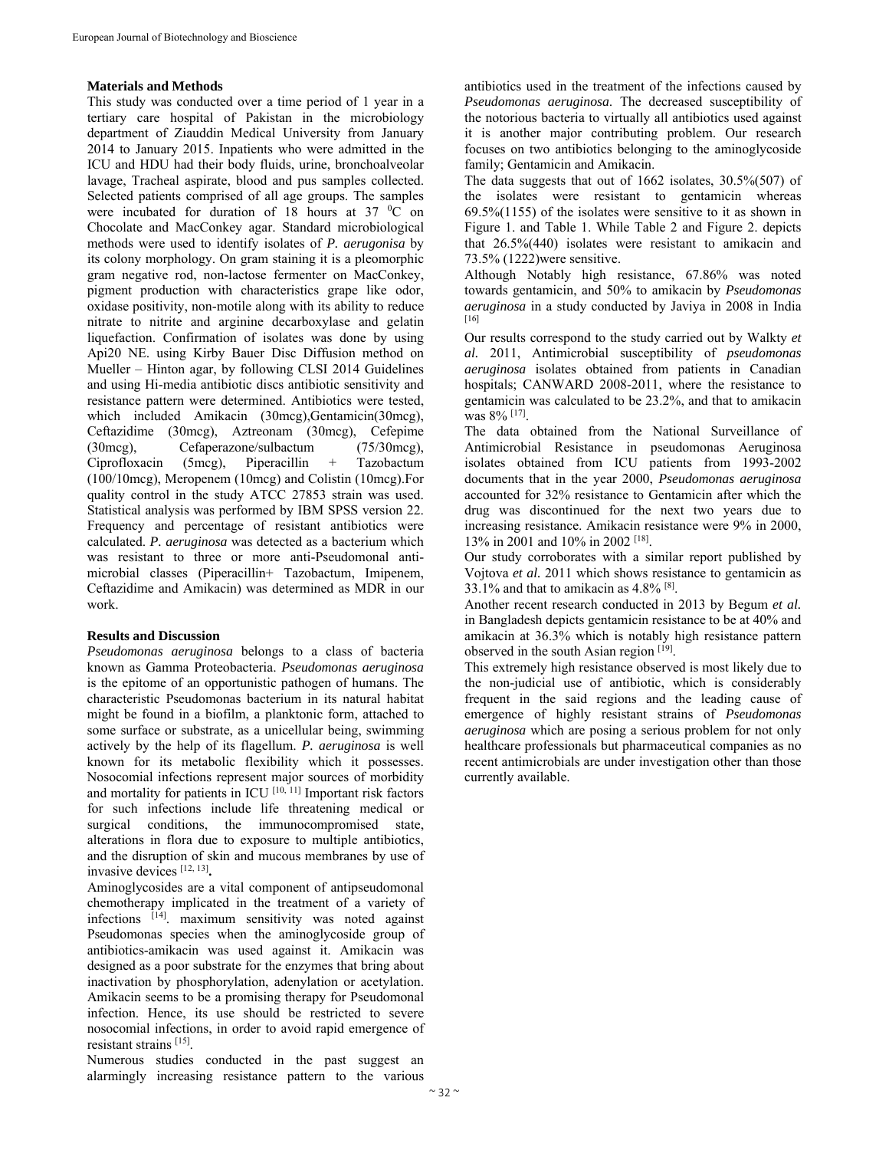# **Materials and Methods**

This study was conducted over a time period of 1 year in a tertiary care hospital of Pakistan in the microbiology department of Ziauddin Medical University from January 2014 to January 2015. Inpatients who were admitted in the ICU and HDU had their body fluids, urine, bronchoalveolar lavage, Tracheal aspirate, blood and pus samples collected. Selected patients comprised of all age groups. The samples were incubated for duration of 18 hours at  $37 \text{ °C}$  on Chocolate and MacConkey agar. Standard microbiological methods were used to identify isolates of *P. aerugonisa* by its colony morphology. On gram staining it is a pleomorphic gram negative rod, non-lactose fermenter on MacConkey, pigment production with characteristics grape like odor, oxidase positivity, non-motile along with its ability to reduce nitrate to nitrite and arginine decarboxylase and gelatin liquefaction. Confirmation of isolates was done by using Api20 NE. using Kirby Bauer Disc Diffusion method on Mueller – Hinton agar, by following CLSI 2014 Guidelines and using Hi-media antibiotic discs antibiotic sensitivity and resistance pattern were determined. Antibiotics were tested, which included Amikacin (30mcg), Gentamicin(30mcg), Ceftazidime (30mcg), Aztreonam (30mcg), Cefepime (30mcg), Cefaperazone/sulbactum (75/30mcg), Ciprofloxacin (5mcg), Piperacillin + Tazobactum (100/10mcg), Meropenem (10mcg) and Colistin (10mcg).For quality control in the study ATCC 27853 strain was used. Statistical analysis was performed by IBM SPSS version 22. Frequency and percentage of resistant antibiotics were calculated. *P. aeruginosa* was detected as a bacterium which was resistant to three or more anti-Pseudomonal antimicrobial classes (Piperacillin+ Tazobactum, Imipenem, Ceftazidime and Amikacin) was determined as MDR in our work.

# **Results and Discussion**

*Pseudomonas aeruginosa* belongs to a class of bacteria known as Gamma Proteobacteria. *Pseudomonas aeruginosa* is the epitome of an opportunistic pathogen of humans. The characteristic Pseudomonas bacterium in its natural habitat might be found in a biofilm, a planktonic form, attached to some surface or substrate, as a unicellular being, swimming actively by the help of its flagellum. *P. aeruginosa* is well known for its metabolic flexibility which it possesses. Nosocomial infections represent major sources of morbidity and mortality for patients in ICU  $[10, 11]$  Important risk factors for such infections include life threatening medical or surgical conditions, the immunocompromised state, alterations in flora due to exposure to multiple antibiotics, and the disruption of skin and mucous membranes by use of invasive devices [12, 13]**.**

Aminoglycosides are a vital component of antipseudomonal chemotherapy implicated in the treatment of a variety of infections [14]. maximum sensitivity was noted against Pseudomonas species when the aminoglycoside group of antibiotics-amikacin was used against it. Amikacin was designed as a poor substrate for the enzymes that bring about inactivation by phosphorylation, adenylation or acetylation. Amikacin seems to be a promising therapy for Pseudomonal infection. Hence, its use should be restricted to severe nosocomial infections, in order to avoid rapid emergence of resistant strains [15].

Numerous studies conducted in the past suggest an alarmingly increasing resistance pattern to the various

antibiotics used in the treatment of the infections caused by *Pseudomonas aeruginosa*. The decreased susceptibility of the notorious bacteria to virtually all antibiotics used against it is another major contributing problem. Our research focuses on two antibiotics belonging to the aminoglycoside family; Gentamicin and Amikacin.

The data suggests that out of 1662 isolates, 30.5%(507) of the isolates were resistant to gentamicin whereas 69.5%(1155) of the isolates were sensitive to it as shown in Figure 1. and Table 1. While Table 2 and Figure 2. depicts that 26.5%(440) isolates were resistant to amikacin and 73.5% (1222)were sensitive.

Although Notably high resistance, 67.86% was noted towards gentamicin, and 50% to amikacin by *Pseudomonas aeruginosa* in a study conducted by Javiya in 2008 in India [16]

Our results correspond to the study carried out by Walkty *et al.* 2011, Antimicrobial susceptibility of *pseudomonas aeruginosa* isolates obtained from patients in Canadian hospitals; CANWARD 2008-2011, where the resistance to gentamicin was calculated to be 23.2%, and that to amikacin was 8% [17].

The data obtained from the National Surveillance of Antimicrobial Resistance in pseudomonas Aeruginosa isolates obtained from ICU patients from 1993-2002 documents that in the year 2000, *Pseudomonas aeruginosa* accounted for 32% resistance to Gentamicin after which the drug was discontinued for the next two years due to increasing resistance. Amikacin resistance were 9% in 2000, 13% in 2001 and 10% in 2002 [18].

Our study corroborates with a similar report published by Vojtova *et al.* 2011 which shows resistance to gentamicin as 33.1% and that to amikacin as 4.8% [8].

Another recent research conducted in 2013 by Begum *et al.* in Bangladesh depicts gentamicin resistance to be at 40% and amikacin at 36.3% which is notably high resistance pattern observed in the south Asian region [19].

This extremely high resistance observed is most likely due to the non-judicial use of antibiotic, which is considerably frequent in the said regions and the leading cause of emergence of highly resistant strains of *Pseudomonas aeruginosa* which are posing a serious problem for not only healthcare professionals but pharmaceutical companies as no recent antimicrobials are under investigation other than those currently available.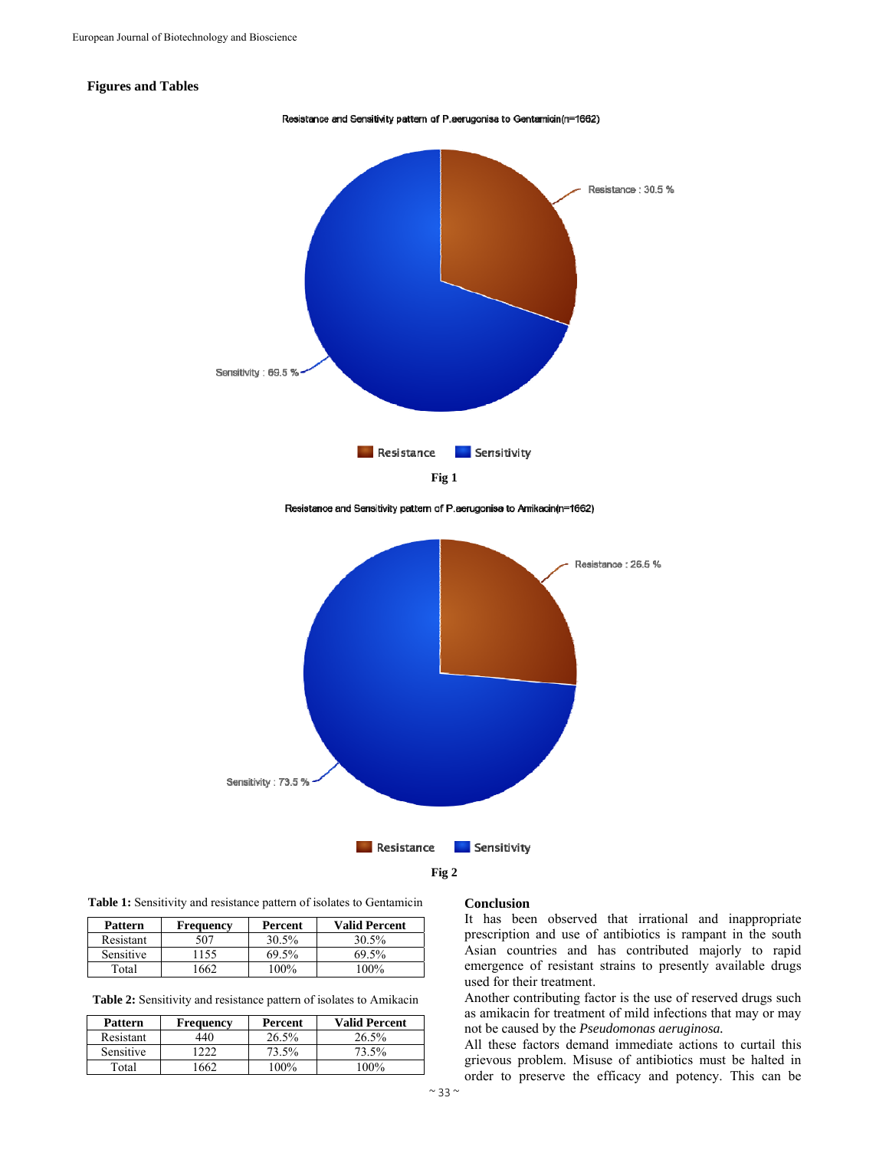# **Figures and Tables**



Resistance and Sensitivity pattern of P.aerugonisa to Amikacin(n=1662)



**Table 1:** Sensitivity and resistance pattern of isolates to Gentamicin

| <b>Pattern</b> | <b>Frequency</b> | Percent | <b>Valid Percent</b> |
|----------------|------------------|---------|----------------------|
| Resistant      | 507              | 30.5%   | 30.5%                |
| Sensitive      | ' 155            | 69.5%   | 69.5%                |
| Total          | 1662             | $100\%$ | 100%                 |

**Table 2:** Sensitivity and resistance pattern of isolates to Amikacin

| <b>Pattern</b>   | Frequency | Percent | <b>Valid Percent</b> |
|------------------|-----------|---------|----------------------|
| Resistant        | 440       | 26.5%   | 26.5%                |
| <b>Sensitive</b> | 222       | 73.5%   | 73.5%                |
| Total            | '662      | $100\%$ | $100\%$              |

### **Conclusion**

It has been observed that irrational and inappropriate prescription and use of antibiotics is rampant in the south Asian countries and has contributed majorly to rapid emergence of resistant strains to presently available drugs used for their treatment.

Another contributing factor is the use of reserved drugs such as amikacin for treatment of mild infections that may or may not be caused by the *Pseudomonas aeruginosa.* 

All these factors demand immediate actions to curtail this grievous problem. Misuse of antibiotics must be halted in order to preserve the efficacy and potency. This can be